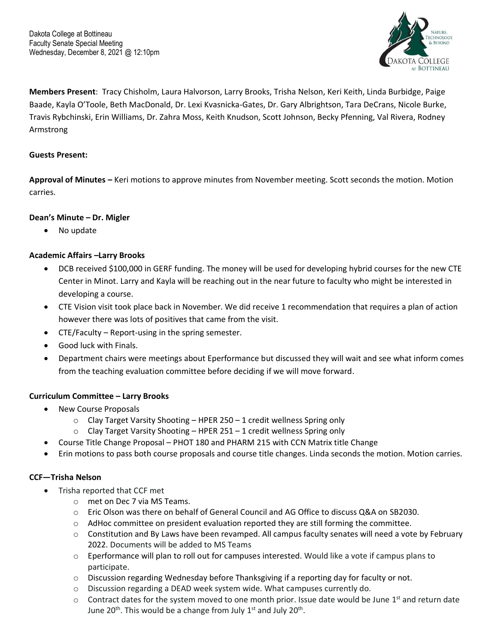

**Members Present**: Tracy Chisholm, Laura Halvorson, Larry Brooks, Trisha Nelson, Keri Keith, Linda Burbidge, Paige Baade, Kayla O'Toole, Beth MacDonald, Dr. Lexi Kvasnicka-Gates, Dr. Gary Albrightson, Tara DeCrans, Nicole Burke, Travis Rybchinski, Erin Williams, Dr. Zahra Moss, Keith Knudson, Scott Johnson, Becky Pfenning, Val Rivera, Rodney Armstrong

# **Guests Present:**

**Approval of Minutes –** Keri motions to approve minutes from November meeting. Scott seconds the motion. Motion carries.

## **Dean's Minute – Dr. Migler**

• No update

# **Academic Affairs –Larry Brooks**

- DCB received \$100,000 in GERF funding. The money will be used for developing hybrid courses for the new CTE Center in Minot. Larry and Kayla will be reaching out in the near future to faculty who might be interested in developing a course.
- CTE Vision visit took place back in November. We did receive 1 recommendation that requires a plan of action however there was lots of positives that came from the visit.
- CTE/Faculty Report-using in the spring semester.
- Good luck with Finals.
- Department chairs were meetings about Eperformance but discussed they will wait and see what inform comes from the teaching evaluation committee before deciding if we will move forward.

## **Curriculum Committee – Larry Brooks**

- New Course Proposals
	- $\circ$  Clay Target Varsity Shooting HPER 250 1 credit wellness Spring only
	- $\circ$  Clay Target Varsity Shooting HPER 251 1 credit wellness Spring only
- Course Title Change Proposal PHOT 180 and PHARM 215 with CCN Matrix title Change
- Erin motions to pass both course proposals and course title changes. Linda seconds the motion. Motion carries.

## **CCF—Trisha Nelson**

- Trisha reported that CCF met
	- o met on Dec 7 via MS Teams.
	- o Eric Olson was there on behalf of General Council and AG Office to discuss Q&A on SB2030.
	- $\circ$  AdHoc committee on president evaluation reported they are still forming the committee.
	- $\circ$  Constitution and By Laws have been revamped. All campus faculty senates will need a vote by February 2022. Documents will be added to MS Teams
	- $\circ$  Eperformance will plan to roll out for campuses interested. Would like a vote if campus plans to participate.
	- $\circ$  Discussion regarding Wednesday before Thanksgiving if a reporting day for faculty or not.
	- o Discussion regarding a DEAD week system wide. What campuses currently do.
	- $\circ$  Contract dates for the system moved to one month prior. Issue date would be June 1<sup>st</sup> and return date June 20<sup>th</sup>. This would be a change from July  $1<sup>st</sup>$  and July 20<sup>th</sup>.